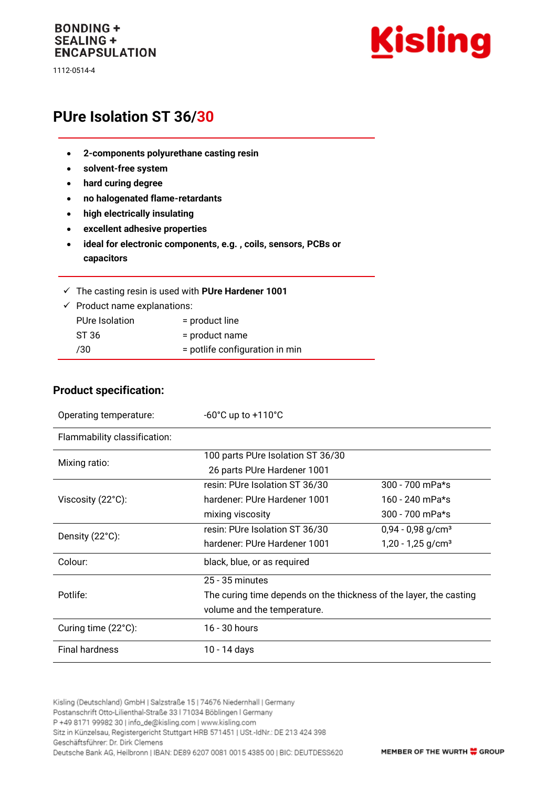#### **BONDING + SEALING + ENCAPSULATION**

1112-0514-4



# **PUre Isolation ST 36/30**

- **2-components polyurethane casting resin**
- **solvent-free system**
- **hard curing degree**
- **no halogenated flame-retardants**
- **high electrically insulating**
- **excellent adhesive properties**
- **ideal for electronic components, e.g. , coils, sensors, PCBs or capacitors**
- ✓ The casting resin is used with **PUre Hardener 1001**
- $\checkmark$  Product name explanations: PUre Isolation = product line ST 36 = product name /30 = potlife configuration in min

#### **Product specification:**

| Operating temperature:       | $-60^{\circ}$ C up to $+110^{\circ}$ C                             |                                 |
|------------------------------|--------------------------------------------------------------------|---------------------------------|
| Flammability classification: |                                                                    |                                 |
| Mixing ratio:                | 100 parts PUre Isolation ST 36/30                                  |                                 |
|                              | 26 parts PUre Hardener 1001                                        |                                 |
| Viscosity (22°C):            | resin: PUre Isolation ST 36/30                                     | $300 - 700$ mPa*s               |
|                              | hardener: PUre Hardener 1001                                       | 160 - 240 mPa*s                 |
|                              | mixing viscosity                                                   | $300 - 700$ mPa*s               |
| Density (22°C):              | resin: PUre Isolation ST 36/30                                     | $0,94 - 0,98$ g/cm <sup>3</sup> |
|                              | hardener: PUre Hardener 1001                                       | $1,20 - 1,25$ g/cm <sup>3</sup> |
| Colour:                      | black, blue, or as required                                        |                                 |
| Potlife:                     | $25 - 35$ minutes                                                  |                                 |
|                              | The curing time depends on the thickness of the layer, the casting |                                 |
|                              | volume and the temperature.                                        |                                 |
| Curing time (22°C):          | 16 - 30 hours                                                      |                                 |
| <b>Final hardness</b>        | 10 - 14 days                                                       |                                 |

Kisling (Deutschland) GmbH | Salzstraße 15 | 74676 Niedernhall | Germany Postanschrift Otto-Lilienthal-Straße 33 | 71034 Böblingen | Germany P +49 8171 99982 30 | info\_de@kisling.com | www.kisling.com Sitz in Künzelsau, Registergericht Stuttgart HRB 571451 | USt.-IdNr.: DE 213 424 398 Geschäftsführer: Dr. Dirk Clemens Deutsche Bank AG, Heilbronn | IBAN: DE89 6207 0081 0015 4385 00 | BIC: DEUTDESS620